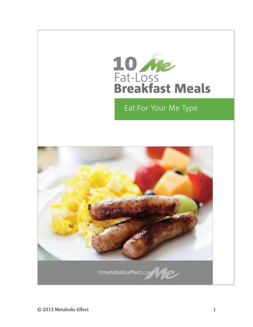

# Eat For Your Me Type

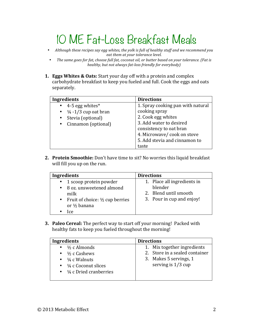# 10 ME Fat-Loss Breakfast Meals

- Although these recipes say egg whites, the yolk is full of healthy stuff and we recommend you eat them at your tolerance level.
- The same goes for fat, choose full fat, coconut oil, or butter based on your tolerance. (Fat is *healthy, but not always fat-loss friendly for everybody)*
- **1. Eggs Whites & Oats:** Start your day off with a protein and complex carbohydrate breakfast to keep you fueled and full. Cook the eggs and oats separately.

| Ingredients                       | <b>Directions</b>                 |
|-----------------------------------|-----------------------------------|
| $\bullet$ 4-5 egg whites*         | 1. Spray cooking pan with natural |
| • $\frac{1}{4}$ -1/3 cup oat bran | cooking spray                     |
| • Stevia (optional)               | 2. Cook egg whites                |
| • Cinnamon (optional)             | 3. Add water to desired           |
|                                   | consistency to oat bran           |
|                                   | 4. Microwave/cook on stove        |
|                                   | 5. Add stevia and cinnamon to     |
|                                   | taste                             |

**2. Protein Smoothie:** Don't have time to sit? No worries this liquid breakfast will fill you up on the run.

| <b>Ingredients</b>                           | <b>Directions</b>           |
|----------------------------------------------|-----------------------------|
| • 1 scoop protein powder                     | 1. Place all ingredients in |
| 8 oz. unsweetened almond<br>$\bullet$        | blender                     |
| milk                                         | 2. Blend until smooth       |
| • Fruit of choice: $\frac{1}{2}$ cup berries | 3. Pour in cup and enjoy!   |
| or $\frac{1}{2}$ banana                      |                             |
| lce.                                         |                             |

**3. Paleo Cereal:** The perfect way to start off your morning! Packed with healthy fats to keep you fueled throughout the morning!

| Ingredients                                                                                                                                                                    | <b>Directions</b>                                                                                               |
|--------------------------------------------------------------------------------------------------------------------------------------------------------------------------------|-----------------------------------------------------------------------------------------------------------------|
| $\bullet$ $\frac{1}{2}$ c Almonds<br>• $\frac{1}{2}$ c Cashews<br>• $\frac{1}{4}$ c Walnuts<br>$\bullet$ $\frac{1}{4}$ c Coconut slices<br>• $\frac{1}{4}$ c Dried cranberries | 1. Mix together ingredients<br>2. Store in a sealed container<br>3. Makes 5 servings, 1<br>serving is $1/3$ cup |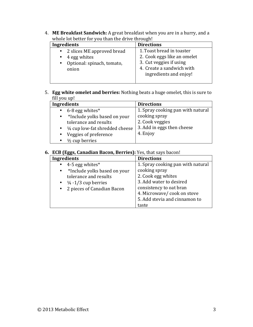4. ME Breakfast Sandwich: A great breakfast when you are in a hurry, and a whole lot better for you than the drive through!

| <b>Ingredients</b>                                                 | <b>Directions</b>                                                                   |
|--------------------------------------------------------------------|-------------------------------------------------------------------------------------|
| • 2 slices ME approved bread                                       | 1. Toast bread in toaster                                                           |
| 4 egg whites<br>$\bullet$<br>• Optional: spinach, tomato,<br>onion | 2. Cook eggs like an omelet<br>3. Cut veggies if using<br>4. Create a sandwich with |
|                                                                    | ingredients and enjoy!                                                              |

## 5. **Egg white omelet and berries:** Nothing beats a huge omelet, this is sure to fill you up!

| Ingredients                     | <b>Directions</b>                 |
|---------------------------------|-----------------------------------|
| • 6-8 egg whites $*$            | 1. Spray cooking pan with natural |
| *Include yolks based on your    | cooking spray                     |
| tolerance and results           | 2. Cook veggies                   |
| 1/4 cup low-fat shredded cheese | 3. Add in eggs then cheese        |
| Veggies of preference           | 4. Enjoy                          |
| $\frac{1}{2}$ cup berries       |                                   |

#### **6. ECB (Eggs, Canadian Bacon, Berries):** Yes, that says bacon!

| Ingredients                               | <b>Directions</b>                 |
|-------------------------------------------|-----------------------------------|
| 4-5 egg whites $*$                        | 1. Spray cooking pan with natural |
| *Include yolks based on your<br>$\bullet$ | cooking spray                     |
| tolerance and results                     | 2. Cook egg whites                |
| • $\frac{1}{4}$ -1/3 cup berries          | 3. Add water to desired           |
| • 2 pieces of Canadian Bacon              | consistency to oat bran           |
|                                           | 4. Microwave/cook on stove        |
|                                           | 5. Add stevia and cinnamon to     |
|                                           | taste                             |